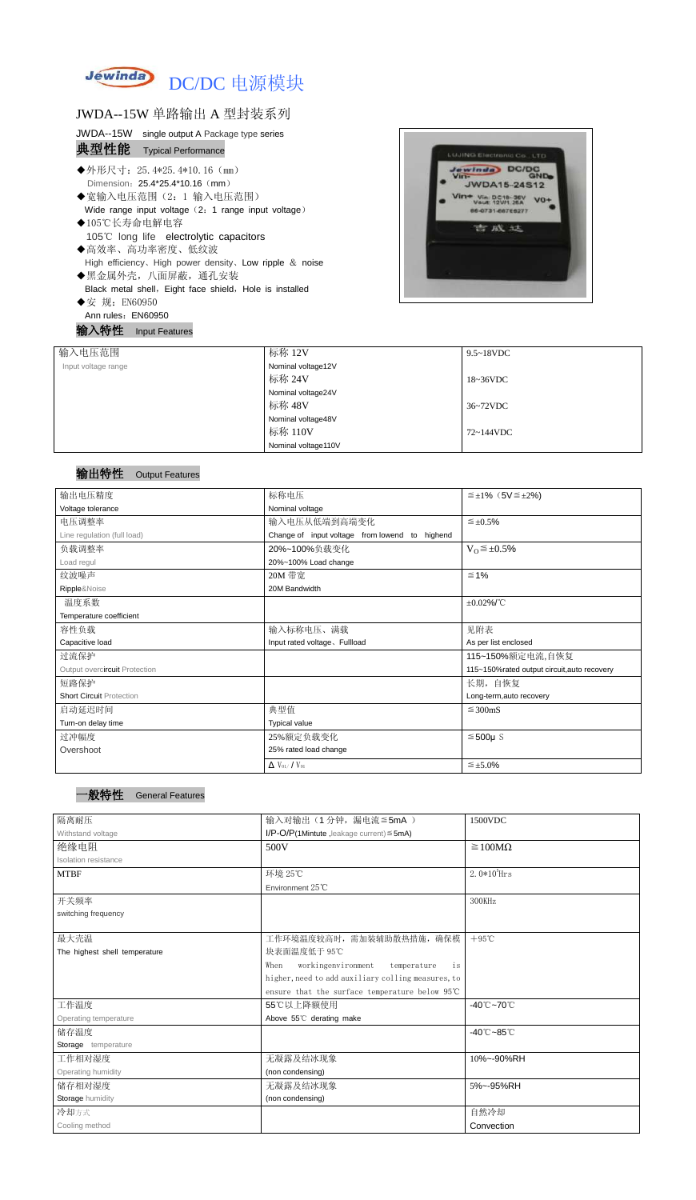

## JWDA--15W 单路输出 A 型封装系列

|      | JWDA--15W single output A Package type series |
|------|-----------------------------------------------|
| 典型性能 | <b>Typical Performance</b>                    |

- ◆外形尺寸: 25.4\*25.4\*10.16 (mm) Dimension: 25.4\*25.4\*10.16 (mm)
- ◆宽输入电压范围(2:1 输入电压范围) Wide range input voltage (2: 1 range input voltage)
- ◆105℃长寿命电解电容 105℃ long life electrolytic capacitors ◆高效率、高功率密度、低纹波 High efficiency、High power density、Low ripple & noise ◆黑金属外壳,八面屏蔽,通孔安装
- Black metal shell, Eight face shield, Hole is installed
- ◆安 规: EN60950 Ann rules: EN60950

输入特性 Input Features



## 输出特性 Output Features

#### 一般特性General Features

| 输入电压范围              | 标称 12V              | $9.5 \sim 18$ VDC |
|---------------------|---------------------|-------------------|
| Input voltage range | Nominal voltage12V  |                   |
|                     | 标称 24V              | $18 - 36$ VDC     |
|                     | Nominal voltage24V  |                   |
|                     | 标称 48V              | 36~72VDC          |
|                     | Nominal voltage48V  |                   |
|                     | 标称 110V             | 72~144VDC         |
|                     | Nominal voltage110V |                   |

| 输出电压精度                          | 标称电压                                           | $\leq \pm 1\%$ (5V $\leq \pm 2\%$ )         |  |  |
|---------------------------------|------------------------------------------------|---------------------------------------------|--|--|
| Voltage tolerance               | Nominal voltage                                |                                             |  |  |
| 电压调整率                           | 输入电压从低端到高端变化                                   | $\leq \pm 0.5\%$                            |  |  |
| Line regulation (full load)     | Change of input voltage from lowend to highend |                                             |  |  |
| 负载调整率                           | 20%~100%负载变化                                   | $V_0 \leq \pm 0.5\%$                        |  |  |
| Load regul                      | 20%~100% Load change                           |                                             |  |  |
| 纹波噪声                            | 20M 带宽                                         | $\leq 1\%$                                  |  |  |
| Ripple&Noise                    | 20M Bandwidth                                  |                                             |  |  |
| 温度系数                            |                                                | $\pm 0.02\%$ /°C                            |  |  |
| Temperature coefficient         |                                                |                                             |  |  |
| 容性负载                            | 输入标称电压、满载                                      | 见附表                                         |  |  |
| Capacitive load                 | Input rated voltage. Fullload                  | As per list enclosed                        |  |  |
| 过流保护                            |                                                | 115~150%额定电流,自恢复                            |  |  |
| Output overcircuit Protection   |                                                | 115~150%rated output circuit, auto recovery |  |  |
| 短路保护                            |                                                | 长期, 自恢复                                     |  |  |
| <b>Short Circuit Protection</b> |                                                | Long-term, auto recovery                    |  |  |
| 启动延迟时间                          | 典型值                                            | $\leq$ 300mS                                |  |  |
| Turn-on delay time              | <b>Typical value</b>                           |                                             |  |  |
| 过冲幅度                            | $≤500µ$ S<br>25%额定负载变化                         |                                             |  |  |
| Overshoot                       | 25% rated load change                          |                                             |  |  |
|                                 | $\Delta$ V <sub>01</sub> /V <sub>01</sub>      | $\leq \pm 5.0\%$                            |  |  |

| 隔离耐压                          | 输入对输出(1分钟,漏电流≦5mA)                                 | 1500VDC                         |
|-------------------------------|----------------------------------------------------|---------------------------------|
| Withstand voltage             | $I/P$ -O/P(1Mintute, leakage current) $\leq$ 5mA)  |                                 |
| 绝缘电阻                          | 500V                                               | $\geq 100M\Omega$               |
| <b>Isolation resistance</b>   |                                                    |                                 |
| <b>MTBF</b>                   | 环境 25℃                                             | $2.0*105$ Hrs                   |
|                               | Environment 25°C                                   |                                 |
| 开关频率                          |                                                    | 300KHz                          |
| switching frequency           |                                                    |                                 |
|                               |                                                    |                                 |
| 最大壳温                          | 工作环境温度较高时, 需加装辅助散热措施, 确保模                          | $+95^{\circ}$ C                 |
| The highest shell temperature | 块表面温度低于 95℃                                        |                                 |
|                               | workingenvironment<br>When<br>temperature<br>is    |                                 |
|                               | higher, need to add auxiliary colling measures, to |                                 |
|                               | ensure that the surface temperature below 95°C     |                                 |
| 工作温度                          | 55℃以上降额使用                                          | $-40^{\circ}$ C $-70^{\circ}$ C |
| Operating temperature         | Above 55°C derating make                           |                                 |
| 储存温度                          |                                                    | $-40^{\circ}$ C $-85^{\circ}$ C |
| Storage temperature           |                                                    |                                 |
| 工作相对湿度                        | 无凝露及结冰现象                                           | 10%~-90%RH                      |
| Operating humidity            | (non condensing)                                   |                                 |
| 储存相对湿度                        | 无凝露及结冰现象                                           | 5%~-95%RH                       |
| Storage humidity              | (non condensing)                                   |                                 |
| 冷却方式                          |                                                    | 自然冷却                            |
| Cooling method                |                                                    | Convection                      |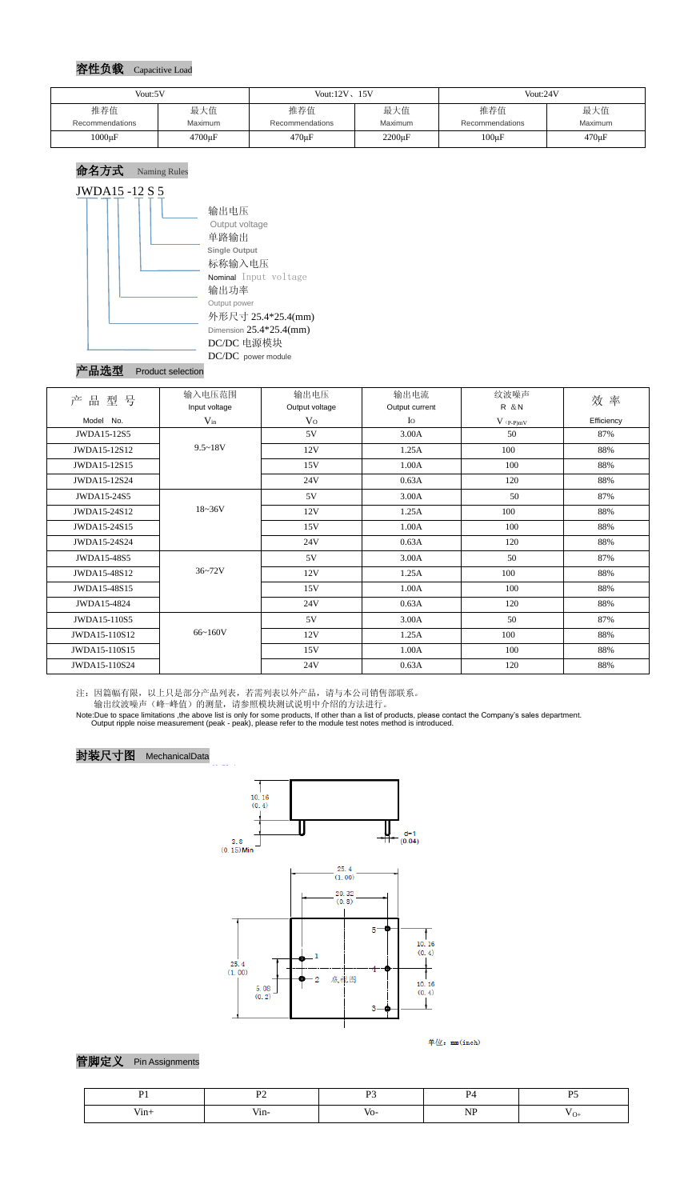#### 容性负载 Capacitive Load

#### 命名方式 Naming Rules



## 产品选型 Product selection

注:因篇幅有限,以上只是部分产品列表,若需列表以外产品,请与本公司销售部联系。

输出纹波噪声(峰-峰值)的测量,请参照模块测试说明中介绍的方法进行。

Note:Due to space limitations ,the above list is only for some products, If other than a list of products, please contact the Company's sales department. Output ripple noise measurement (peak - peak), please refer to the module test notes method is introduced.







管脚定义 Pin Assignments

| Vout:5V         |              | Vout: $12V$ , $15V$ |              | Vout:24V        |             |
|-----------------|--------------|---------------------|--------------|-----------------|-------------|
| 推荐值             | 最大值          | 推荐值                 | 最大值          | 推荐值             | 最大值         |
| Recommendations | Maximum      | Recommendations     | Maximum      | Recommendations | Maximum     |
| $1000\mu F$     | $4700 \mu F$ | $470 \mu F$         | $2200 \mu F$ | $100 \mu F$     | $470 \mu F$ |

| 产<br>型<br>品<br>号 | 输入电压范围        | 输出电压           | 输出电流           | 纹波噪声           | 效率         |  |
|------------------|---------------|----------------|----------------|----------------|------------|--|
|                  | Input voltage | Output voltage | Output current | <b>R</b> &N    |            |  |
| Model No.        | $V_{in}$      | V <sub>O</sub> | $I_{\rm O}$    | $V$ (p-p) $mV$ | Efficiency |  |
| JWDA15-12S5      |               | 5V             | 3.00A          | 50             | 87%        |  |
| JWDA15-12S12     | $9.5 - 18V$   | 12V            | 1.25A          | 100            | 88%        |  |
| JWDA15-12S15     |               | 15V            | 1.00A          | 100            | 88%        |  |
| JWDA15-12S24     |               | 24V            | 0.63A          | 120            | 88%        |  |
| JWDA15-24S5      |               | 5V             | 3.00A          | 50             | 87%        |  |
| JWDA15-24S12     | $18 - 36V$    | 12V            | 1.25A          | 100            | 88%        |  |
| JWDA15-24S15     |               | 15V            | 1.00A          | 100            | 88%        |  |
| JWDA15-24S24     |               | 24V            | 0.63A          | 120            | 88%        |  |
| JWDA15-48S5      |               | 5V             | 3.00A          | 50             | 87%        |  |
| JWDA15-48S12     | $36 - 72V$    | 12V            | 1.25A          | 100            | 88%        |  |
| JWDA15-48S15     |               | 15V            | 1.00A          | 100            | 88%        |  |
| JWDA15-4824      |               | 24V            | 0.63A          | 120            | 88%        |  |
| JWDA15-110S5     |               | 5V             | 3.00A          | 50             | 87%        |  |
| JWDA15-110S12    | 66~160V       | 12V            | 1.25A          | 100            | 88%        |  |
| JWDA15-110S15    |               | 15V            | 1.00A          | 100            | 88%        |  |
| JWDA15-110S24    |               | 24V            | 0.63A          | 120            | 88%        |  |

| ү 111∓ | <br>the contract of the contract of | v |  |
|--------|-------------------------------------|---|--|